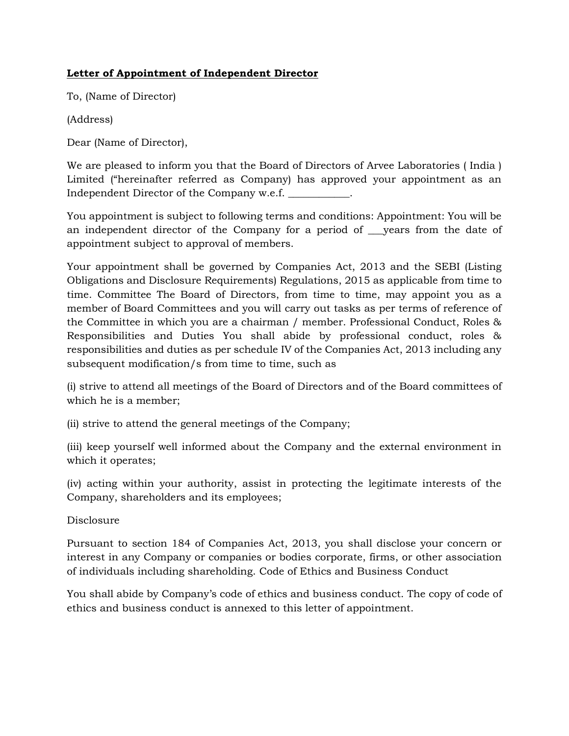# **Letter of Appointment of Independent Director**

To, (Name of Director)

(Address)

Dear (Name of Director),

We are pleased to inform you that the Board of Directors of Arvee Laboratories ( India ) Limited ("hereinafter referred as Company) has approved your appointment as an Independent Director of the Company w.e.f. \_\_\_\_\_\_\_\_\_\_\_\_.

You appointment is subject to following terms and conditions: Appointment: You will be an independent director of the Company for a period of \_\_\_years from the date of appointment subject to approval of members.

Your appointment shall be governed by Companies Act, 2013 and the SEBI (Listing Obligations and Disclosure Requirements) Regulations, 2015 as applicable from time to time. Committee The Board of Directors, from time to time, may appoint you as a member of Board Committees and you will carry out tasks as per terms of reference of the Committee in which you are a chairman / member. Professional Conduct, Roles & Responsibilities and Duties You shall abide by professional conduct, roles & responsibilities and duties as per schedule IV of the Companies Act, 2013 including any subsequent modification/s from time to time, such as

(i) strive to attend all meetings of the Board of Directors and of the Board committees of which he is a member;

(ii) strive to attend the general meetings of the Company;

(iii) keep yourself well informed about the Company and the external environment in which it operates;

(iv) acting within your authority, assist in protecting the legitimate interests of the Company, shareholders and its employees;

Disclosure

Pursuant to section 184 of Companies Act, 2013, you shall disclose your concern or interest in any Company or companies or bodies corporate, firms, or other association of individuals including shareholding. Code of Ethics and Business Conduct

You shall abide by Company's code of ethics and business conduct. The copy of code of ethics and business conduct is annexed to this letter of appointment.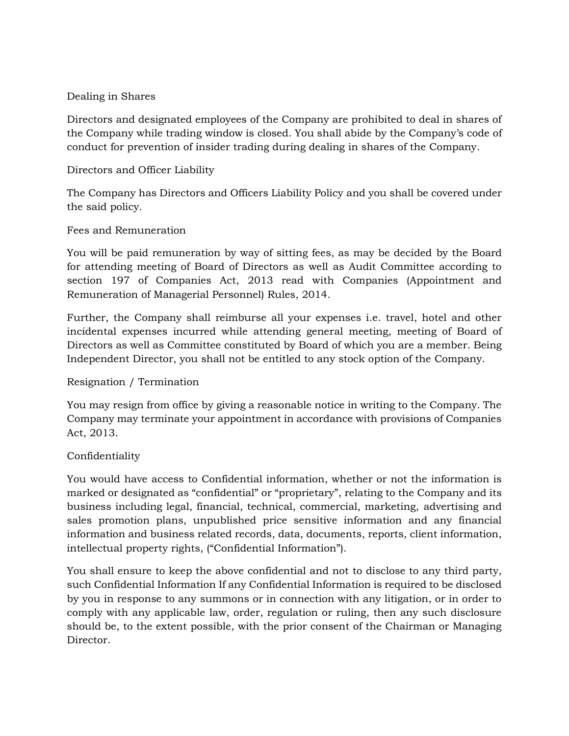#### Dealing in Shares

Directors and designated employees of the Company are prohibited to deal in shares of the Company while trading window is closed. You shall abide by the Company's code of conduct for prevention of insider trading during dealing in shares of the Company.

## Directors and Officer Liability

The Company has Directors and Officers Liability Policy and you shall be covered under the said policy.

## Fees and Remuneration

You will be paid remuneration by way of sitting fees, as may be decided by the Board for attending meeting of Board of Directors as well as Audit Committee according to section 197 of Companies Act, 2013 read with Companies (Appointment and Remuneration of Managerial Personnel) Rules, 2014.

Further, the Company shall reimburse all your expenses i.e. travel, hotel and other incidental expenses incurred while attending general meeting, meeting of Board of Directors as well as Committee constituted by Board of which you are a member. Being Independent Director, you shall not be entitled to any stock option of the Company.

#### Resignation / Termination

You may resign from office by giving a reasonable notice in writing to the Company. The Company may terminate your appointment in accordance with provisions of Companies Act, 2013.

## Confidentiality

You would have access to Confidential information, whether or not the information is marked or designated as "confidential" or "proprietary", relating to the Company and its business including legal, financial, technical, commercial, marketing, advertising and sales promotion plans, unpublished price sensitive information and any financial information and business related records, data, documents, reports, client information, intellectual property rights, ("Confidential Information").

You shall ensure to keep the above confidential and not to disclose to any third party, such Confidential Information If any Confidential Information is required to be disclosed by you in response to any summons or in connection with any litigation, or in order to comply with any applicable law, order, regulation or ruling, then any such disclosure should be, to the extent possible, with the prior consent of the Chairman or Managing Director.